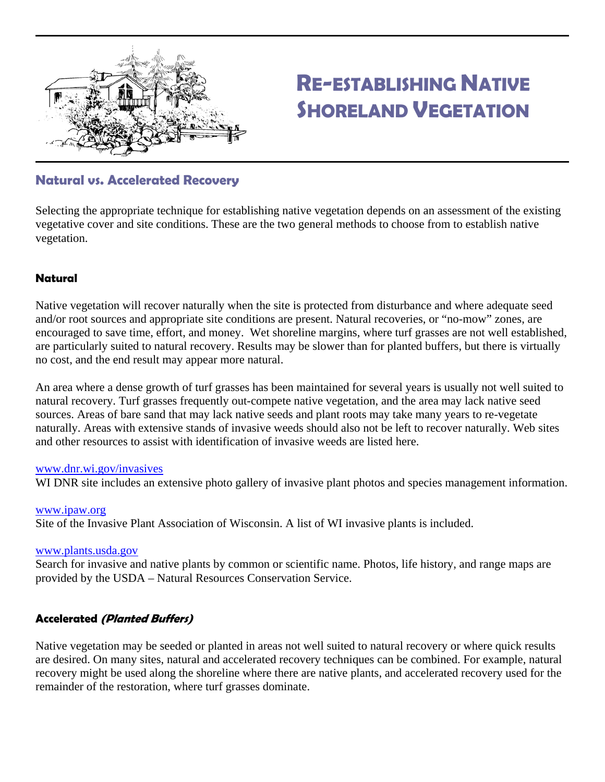

# **RE-ESTABLISHING NATIVE SHORELAND VEGETATION**

# **Natural vs. Accelerated Recovery**

Selecting the appropriate technique for establishing native vegetation depends on an assessment of the existing vegetative cover and site conditions. These are the two general methods to choose from to establish native vegetation.

#### **Natural**

Native vegetation will recover naturally when the site is protected from disturbance and where adequate seed and/or root sources and appropriate site conditions are present. Natural recoveries, or "no-mow" zones, are encouraged to save time, effort, and money. Wet shoreline margins, where turf grasses are not well established, are particularly suited to natural recovery. Results may be slower than for planted buffers, but there is virtually no cost, and the end result may appear more natural.

An area where a dense growth of turf grasses has been maintained for several years is usually not well suited to natural recovery. Turf grasses frequently out-compete native vegetation, and the area may lack native seed sources. Areas of bare sand that may lack native seeds and plant roots may take many years to re-vegetate naturally. Areas with extensive stands of invasive weeds should also not be left to recover naturally. Web sites and other resources to assist with identification of invasive weeds are listed here.

#### [www.dnr.wi.gov/invasives](http://www.dnr.wi.gov/invasives)

WI DNR site includes an extensive photo gallery of invasive plant photos and species management information.

# [www.ipaw.org](http://www.ipaw.org/)

Site of the Invasive Plant Association of Wisconsin. A list of WI invasive plants is included.

#### [www.plants.usda.gov](http://www.plants.usda.gov/)

Search for invasive and native plants by common or scientific name. Photos, life history, and range maps are provided by the USDA – Natural Resources Conservation Service.

#### **Accelerated (Planted Buffers)**

Native vegetation may be seeded or planted in areas not well suited to natural recovery or where quick results are desired. On many sites, natural and accelerated recovery techniques can be combined. For example, natural recovery might be used along the shoreline where there are native plants, and accelerated recovery used for the remainder of the restoration, where turf grasses dominate.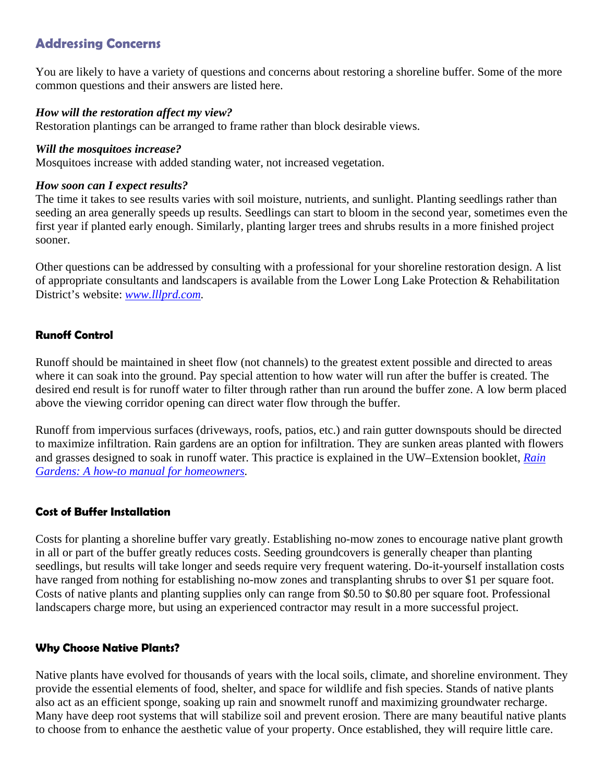# **Addressing Concerns**

You are likely to have a variety of questions and concerns about restoring a shoreline buffer. Some of the more common questions and their answers are listed here.

#### *How will the restoration affect my view?*

Restoration plantings can be arranged to frame rather than block desirable views.

#### *Will the mosquitoes increase?*

Mosquitoes increase with added standing water, not increased vegetation.

#### *How soon can I expect results?*

The time it takes to see results varies with soil moisture, nutrients, and sunlight. Planting seedlings rather than seeding an area generally speeds up results. Seedlings can start to bloom in the second year, sometimes even the first year if planted early enough. Similarly, planting larger trees and shrubs results in a more finished project sooner.

Other questions can be addressed by consulting with a professional for your shoreline restoration design. A list of appropriate consultants and landscapers is available from the Lower Long Lake Protection & Rehabilitation District's website: *[www.lllprd.com](http://www.lllprd.com/).*

#### **Runoff Control**

Runoff should be maintained in sheet flow (not channels) to the greatest extent possible and directed to areas where it can soak into the ground. Pay special attention to how water will run after the buffer is created. The desired end result is for runoff water to filter through rather than run around the buffer zone. A low berm placed above the viewing corridor opening can direct water flow through the buffer.

Runoff from impervious surfaces (driveways, roofs, patios, etc.) and rain gutter downspouts should be directed to maximize infiltration. Rain gardens are an option for infiltration. They are sunken areas planted with flowers and grasses designed to soak in runoff water. This practice is explained in the UW–Extension booklet, *[Rain](http://learningstore.uwex.edu/pdf/GWQ037.pdf)  [Gardens: A how-to manual for homeowners.](http://learningstore.uwex.edu/pdf/GWQ037.pdf)*

#### **Cost of Buffer Installation**

Costs for planting a shoreline buffer vary greatly. Establishing no-mow zones to encourage native plant growth in all or part of the buffer greatly reduces costs. Seeding groundcovers is generally cheaper than planting seedlings, but results will take longer and seeds require very frequent watering. Do-it-yourself installation costs have ranged from nothing for establishing no-mow zones and transplanting shrubs to over \$1 per square foot. Costs of native plants and planting supplies only can range from \$0.50 to \$0.80 per square foot. Professional landscapers charge more, but using an experienced contractor may result in a more successful project.

#### **Why Choose Native Plants?**

Native plants have evolved for thousands of years with the local soils, climate, and shoreline environment. They provide the essential elements of food, shelter, and space for wildlife and fish species. Stands of native plants also act as an efficient sponge, soaking up rain and snowmelt runoff and maximizing groundwater recharge. Many have deep root systems that will stabilize soil and prevent erosion. There are many beautiful native plants to choose from to enhance the aesthetic value of your property. Once established, they will require little care.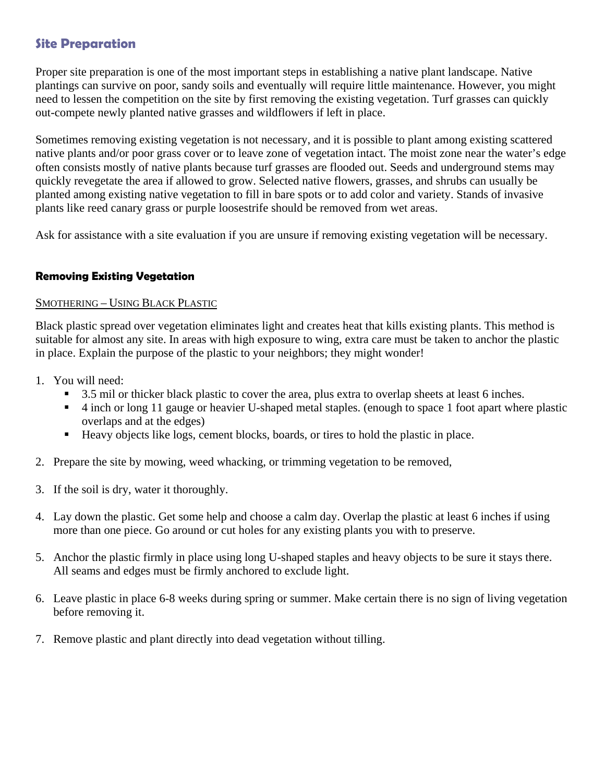## **Site Preparation**

Proper site preparation is one of the most important steps in establishing a native plant landscape. Native plantings can survive on poor, sandy soils and eventually will require little maintenance. However, you might need to lessen the competition on the site by first removing the existing vegetation. Turf grasses can quickly out-compete newly planted native grasses and wildflowers if left in place.

Sometimes removing existing vegetation is not necessary, and it is possible to plant among existing scattered native plants and/or poor grass cover or to leave zone of vegetation intact. The moist zone near the water's edge often consists mostly of native plants because turf grasses are flooded out. Seeds and underground stems may quickly revegetate the area if allowed to grow. Selected native flowers, grasses, and shrubs can usually be planted among existing native vegetation to fill in bare spots or to add color and variety. Stands of invasive plants like reed canary grass or purple loosestrife should be removed from wet areas.

Ask for assistance with a site evaluation if you are unsure if removing existing vegetation will be necessary.

#### **Removing Existing Vegetation**

#### SMOTHERING – USING BLACK PLASTIC

Black plastic spread over vegetation eliminates light and creates heat that kills existing plants. This method is suitable for almost any site. In areas with high exposure to wing, extra care must be taken to anchor the plastic in place. Explain the purpose of the plastic to your neighbors; they might wonder!

- 1. You will need:
	- 3.5 mil or thicker black plastic to cover the area, plus extra to overlap sheets at least 6 inches.
	- 4 inch or long 11 gauge or heavier U-shaped metal staples. (enough to space 1 foot apart where plastic overlaps and at the edges)
	- Heavy objects like logs, cement blocks, boards, or tires to hold the plastic in place.
- 2. Prepare the site by mowing, weed whacking, or trimming vegetation to be removed,
- 3. If the soil is dry, water it thoroughly.
- 4. Lay down the plastic. Get some help and choose a calm day. Overlap the plastic at least 6 inches if using more than one piece. Go around or cut holes for any existing plants you with to preserve.
- 5. Anchor the plastic firmly in place using long U-shaped staples and heavy objects to be sure it stays there. All seams and edges must be firmly anchored to exclude light.
- 6. Leave plastic in place 6-8 weeks during spring or summer. Make certain there is no sign of living vegetation before removing it.
- 7. Remove plastic and plant directly into dead vegetation without tilling.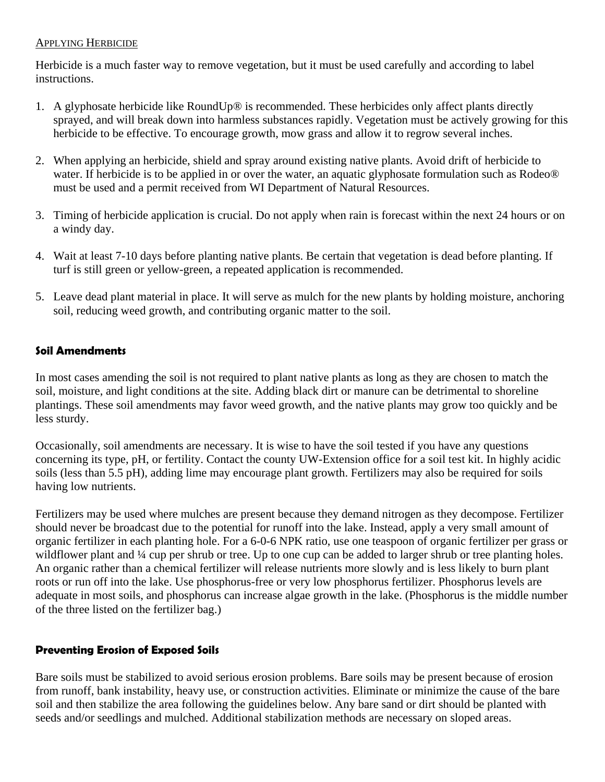#### APPLYING HERBICIDE

Herbicide is a much faster way to remove vegetation, but it must be used carefully and according to label instructions.

- 1. A glyphosate herbicide like RoundUp® is recommended. These herbicides only affect plants directly sprayed, and will break down into harmless substances rapidly. Vegetation must be actively growing for this herbicide to be effective. To encourage growth, mow grass and allow it to regrow several inches.
- 2. When applying an herbicide, shield and spray around existing native plants. Avoid drift of herbicide to water. If herbicide is to be applied in or over the water, an aquatic glyphosate formulation such as Rodeo® must be used and a permit received from WI Department of Natural Resources.
- 3. Timing of herbicide application is crucial. Do not apply when rain is forecast within the next 24 hours or on a windy day.
- 4. Wait at least 7-10 days before planting native plants. Be certain that vegetation is dead before planting. If turf is still green or yellow-green, a repeated application is recommended.
- 5. Leave dead plant material in place. It will serve as mulch for the new plants by holding moisture, anchoring soil, reducing weed growth, and contributing organic matter to the soil.

#### **Soil Amendments**

In most cases amending the soil is not required to plant native plants as long as they are chosen to match the soil, moisture, and light conditions at the site. Adding black dirt or manure can be detrimental to shoreline plantings. These soil amendments may favor weed growth, and the native plants may grow too quickly and be less sturdy.

Occasionally, soil amendments are necessary. It is wise to have the soil tested if you have any questions concerning its type, pH, or fertility. Contact the county UW-Extension office for a soil test kit. In highly acidic soils (less than 5.5 pH), adding lime may encourage plant growth. Fertilizers may also be required for soils having low nutrients.

Fertilizers may be used where mulches are present because they demand nitrogen as they decompose. Fertilizer should never be broadcast due to the potential for runoff into the lake. Instead, apply a very small amount of organic fertilizer in each planting hole. For a 6-0-6 NPK ratio, use one teaspoon of organic fertilizer per grass or wildflower plant and ¼ cup per shrub or tree. Up to one cup can be added to larger shrub or tree planting holes. An organic rather than a chemical fertilizer will release nutrients more slowly and is less likely to burn plant roots or run off into the lake. Use phosphorus-free or very low phosphorus fertilizer. Phosphorus levels are adequate in most soils, and phosphorus can increase algae growth in the lake. (Phosphorus is the middle number of the three listed on the fertilizer bag.)

### **Preventing Erosion of Exposed Soils**

Bare soils must be stabilized to avoid serious erosion problems. Bare soils may be present because of erosion from runoff, bank instability, heavy use, or construction activities. Eliminate or minimize the cause of the bare soil and then stabilize the area following the guidelines below. Any bare sand or dirt should be planted with seeds and/or seedlings and mulched. Additional stabilization methods are necessary on sloped areas.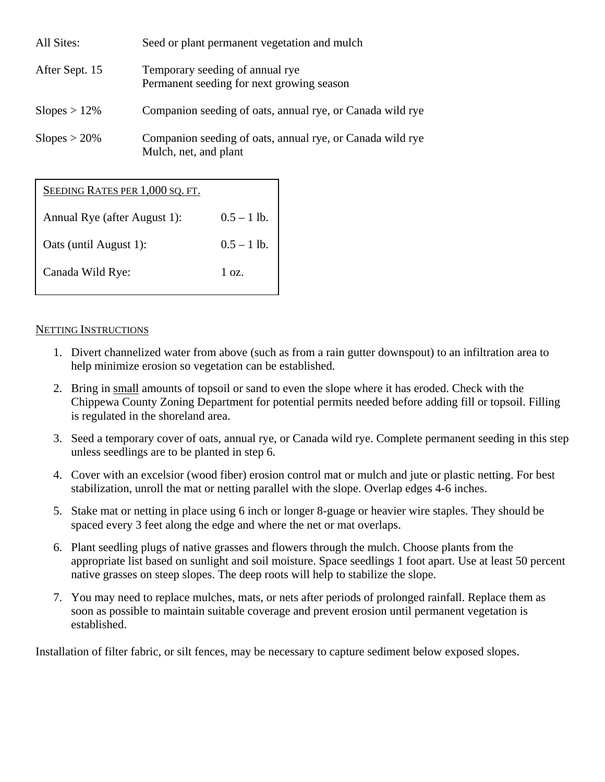| All Sites:      | Seed or plant permanent vegetation and mulch                                       |
|-----------------|------------------------------------------------------------------------------------|
| After Sept. 15  | Temporary seeding of annual rye.<br>Permanent seeding for next growing season      |
| $Slopes > 12\%$ | Companion seeding of oats, annual rye, or Canada wild rye                          |
| $Slopes > 20\%$ | Companion seeding of oats, annual rye, or Canada wild rye<br>Mulch, net, and plant |

SEEDING RATES PER 1,000 SQ. FT.

| Annual Rye (after August 1): | $0.5 - 1$ lb. |
|------------------------------|---------------|
| Oats (until August 1):       | $0.5 - 1$ lb. |
| Canada Wild Rye:             | $1 \Omega$    |

#### NETTING INSTRUCTIONS

- 1. Divert channelized water from above (such as from a rain gutter downspout) to an infiltration area to help minimize erosion so vegetation can be established.
- 2. Bring in small amounts of topsoil or sand to even the slope where it has eroded. Check with the Chippewa County Zoning Department for potential permits needed before adding fill or topsoil. Filling is regulated in the shoreland area.
- 3. Seed a temporary cover of oats, annual rye, or Canada wild rye. Complete permanent seeding in this step unless seedlings are to be planted in step 6.
- 4. Cover with an excelsior (wood fiber) erosion control mat or mulch and jute or plastic netting. For best stabilization, unroll the mat or netting parallel with the slope. Overlap edges 4-6 inches.
- 5. Stake mat or netting in place using 6 inch or longer 8-guage or heavier wire staples. They should be spaced every 3 feet along the edge and where the net or mat overlaps.
- 6. Plant seedling plugs of native grasses and flowers through the mulch. Choose plants from the appropriate list based on sunlight and soil moisture. Space seedlings 1 foot apart. Use at least 50 percent native grasses on steep slopes. The deep roots will help to stabilize the slope.
- 7. You may need to replace mulches, mats, or nets after periods of prolonged rainfall. Replace them as soon as possible to maintain suitable coverage and prevent erosion until permanent vegetation is established.

Installation of filter fabric, or silt fences, may be necessary to capture sediment below exposed slopes.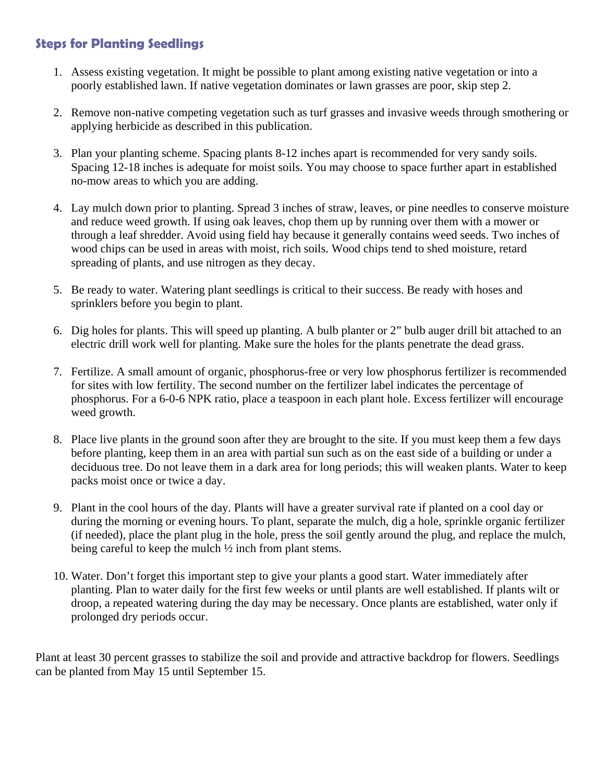# **Steps for Planting Seedlings**

- 1. Assess existing vegetation. It might be possible to plant among existing native vegetation or into a poorly established lawn. If native vegetation dominates or lawn grasses are poor, skip step 2.
- 2. Remove non-native competing vegetation such as turf grasses and invasive weeds through smothering or applying herbicide as described in this publication.
- 3. Plan your planting scheme. Spacing plants 8-12 inches apart is recommended for very sandy soils. Spacing 12-18 inches is adequate for moist soils. You may choose to space further apart in established no-mow areas to which you are adding.
- 4. Lay mulch down prior to planting. Spread 3 inches of straw, leaves, or pine needles to conserve moisture and reduce weed growth. If using oak leaves, chop them up by running over them with a mower or through a leaf shredder. Avoid using field hay because it generally contains weed seeds. Two inches of wood chips can be used in areas with moist, rich soils. Wood chips tend to shed moisture, retard spreading of plants, and use nitrogen as they decay.
- 5. Be ready to water. Watering plant seedlings is critical to their success. Be ready with hoses and sprinklers before you begin to plant.
- 6. Dig holes for plants. This will speed up planting. A bulb planter or 2" bulb auger drill bit attached to an electric drill work well for planting. Make sure the holes for the plants penetrate the dead grass.
- 7. Fertilize. A small amount of organic, phosphorus-free or very low phosphorus fertilizer is recommended for sites with low fertility. The second number on the fertilizer label indicates the percentage of phosphorus. For a 6-0-6 NPK ratio, place a teaspoon in each plant hole. Excess fertilizer will encourage weed growth.
- 8. Place live plants in the ground soon after they are brought to the site. If you must keep them a few days before planting, keep them in an area with partial sun such as on the east side of a building or under a deciduous tree. Do not leave them in a dark area for long periods; this will weaken plants. Water to keep packs moist once or twice a day.
- 9. Plant in the cool hours of the day. Plants will have a greater survival rate if planted on a cool day or during the morning or evening hours. To plant, separate the mulch, dig a hole, sprinkle organic fertilizer (if needed), place the plant plug in the hole, press the soil gently around the plug, and replace the mulch, being careful to keep the mulch ½ inch from plant stems.
- 10. Water. Don't forget this important step to give your plants a good start. Water immediately after planting. Plan to water daily for the first few weeks or until plants are well established. If plants wilt or droop, a repeated watering during the day may be necessary. Once plants are established, water only if prolonged dry periods occur.

Plant at least 30 percent grasses to stabilize the soil and provide and attractive backdrop for flowers. Seedlings can be planted from May 15 until September 15.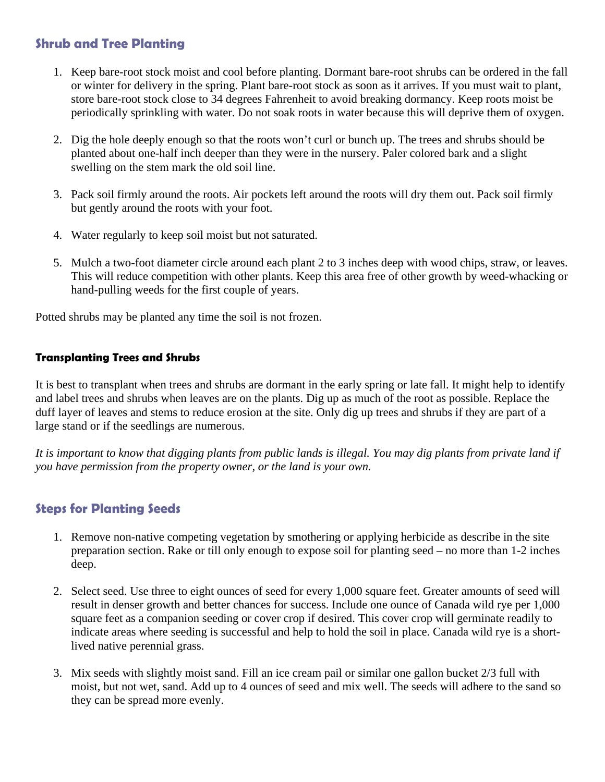# **Shrub and Tree Planting**

- 1. Keep bare-root stock moist and cool before planting. Dormant bare-root shrubs can be ordered in the fall or winter for delivery in the spring. Plant bare-root stock as soon as it arrives. If you must wait to plant, store bare-root stock close to 34 degrees Fahrenheit to avoid breaking dormancy. Keep roots moist be periodically sprinkling with water. Do not soak roots in water because this will deprive them of oxygen.
- 2. Dig the hole deeply enough so that the roots won't curl or bunch up. The trees and shrubs should be planted about one-half inch deeper than they were in the nursery. Paler colored bark and a slight swelling on the stem mark the old soil line.
- 3. Pack soil firmly around the roots. Air pockets left around the roots will dry them out. Pack soil firmly but gently around the roots with your foot.
- 4. Water regularly to keep soil moist but not saturated.
- 5. Mulch a two-foot diameter circle around each plant 2 to 3 inches deep with wood chips, straw, or leaves. This will reduce competition with other plants. Keep this area free of other growth by weed-whacking or hand-pulling weeds for the first couple of years.

Potted shrubs may be planted any time the soil is not frozen.

#### **Transplanting Trees and Shrubs**

It is best to transplant when trees and shrubs are dormant in the early spring or late fall. It might help to identify and label trees and shrubs when leaves are on the plants. Dig up as much of the root as possible. Replace the duff layer of leaves and stems to reduce erosion at the site. Only dig up trees and shrubs if they are part of a large stand or if the seedlings are numerous.

*It is important to know that digging plants from public lands is illegal. You may dig plants from private land if you have permission from the property owner, or the land is your own.* 

# **Steps for Planting Seeds**

- 1. Remove non-native competing vegetation by smothering or applying herbicide as describe in the site preparation section. Rake or till only enough to expose soil for planting seed – no more than 1-2 inches deep.
- 2. Select seed. Use three to eight ounces of seed for every 1,000 square feet. Greater amounts of seed will result in denser growth and better chances for success. Include one ounce of Canada wild rye per 1,000 square feet as a companion seeding or cover crop if desired. This cover crop will germinate readily to indicate areas where seeding is successful and help to hold the soil in place. Canada wild rye is a shortlived native perennial grass.
- 3. Mix seeds with slightly moist sand. Fill an ice cream pail or similar one gallon bucket 2/3 full with moist, but not wet, sand. Add up to 4 ounces of seed and mix well. The seeds will adhere to the sand so they can be spread more evenly.